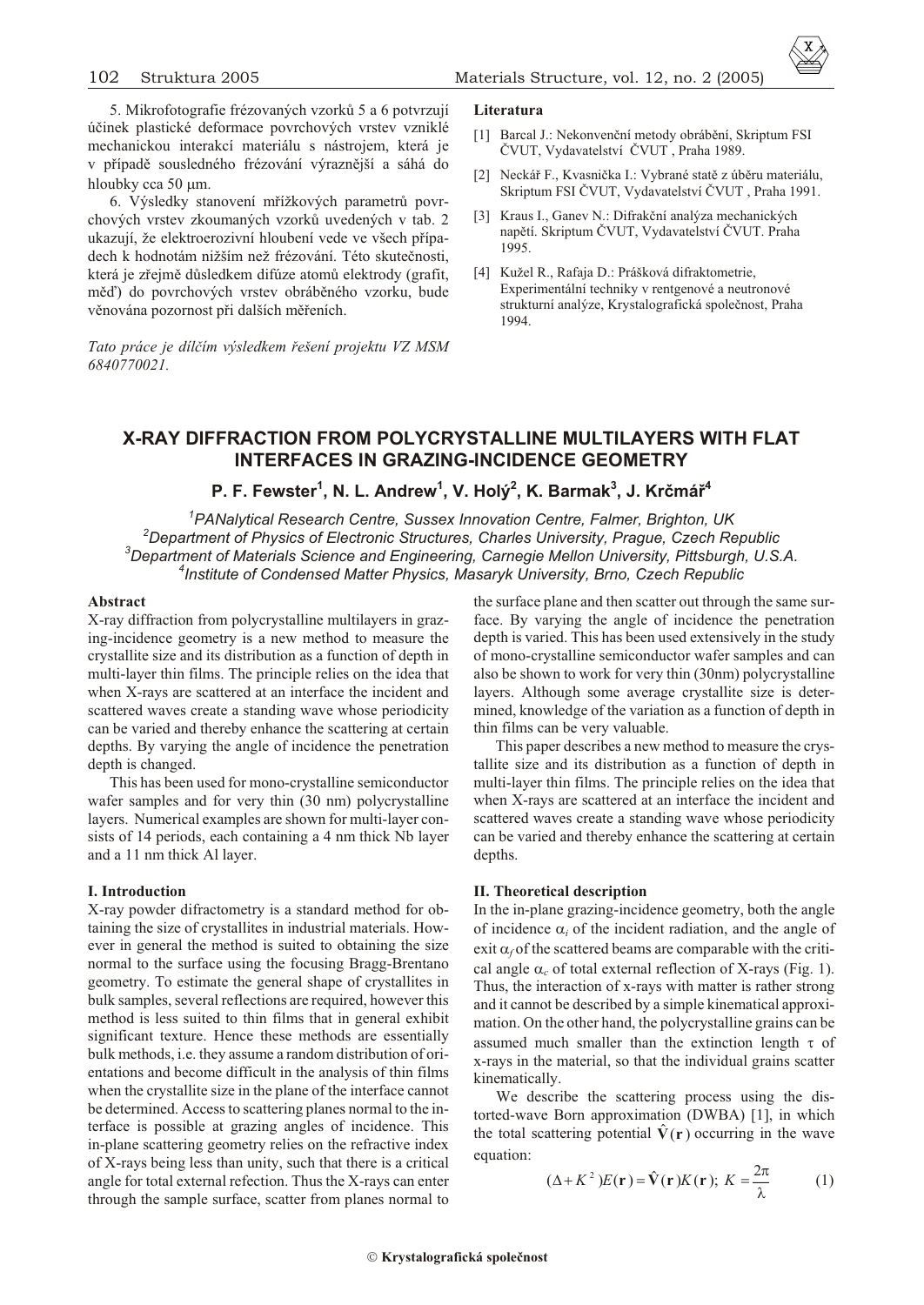5. Mikrofotografie frézovaných vzorkù 5 a 6 potvrzují úèinek plastické deformace povrchových vrstev vzniklé mechanickou interakcí materiálu s nástrojem, která je v případě sousledného frézování výraznější a sáhá do hloubky cca 50 m.

6. Výsledky stanovení mřížkových parametrů povrchových vrstev zkoumaných vzorkù uvedených v tab. 2 ukazují, že elektroerozivní hloubení vede ve všech případech k hodnotám nižším než frézování. Této skuteènosti, která je zřejmě důsledkem difúze atomů elektrody (grafit, měď) do povrchových vrstev obráběného vzorku, bude věnována pozornost při dalších měřeních.

*Tato práce je dílèím výsledkem øešení projektu VZ MSM 6840770021.*

#### **Literatura**

- [1] Barcal J.: Nekonvenční metody obrábění, Skriptum FSI ÈVUT, Vydavatelství ÈVUT , Praha 1989.
- [2] Neckář F., Kvasnička I.: Vybrané statě z úběru materiálu, Skriptum FSI ÈVUT, Vydavatelství ÈVUT , Praha 1991.
- [3] Kraus I., Ganev N.: Difrakèní analýza mechanických napětí. Skriptum ČVUT, Vydavatelství ČVUT. Praha 1995.
- [4] Kužel R., Rafaja D.: Prášková difraktometrie, Experimentální techniky v rentgenové a neutronové strukturní analýze, Krystalografická spoleènost, Praha 1994.

# **X-RAY DIFFRACTION FROM POLYCRYSTALLINE MULTILAYERS WITH FLAT INTERFACES IN GRAZING-INCIDENCE GEOMETRY**

# **P. F. Fewster<sup>1</sup> , N. L. An drew<sup>1</sup> , V. Holý<sup>2</sup> , K. Barmak<sup>3</sup> , J. Krèmáø<sup>4</sup>**

*PANalytical Research Centre, Sussex Innovation Centre, Falmer, Brighton, UK Department of Physics of Electronic Structures, Charles University, Prague, Czech Republic Department of Materials Science and Engineering, Carnegie Mellon University, Pittsburgh, U.S.A. Institute of Condensed Matter Physics, Masaryk University, Brno, Czech Republic*

# **Ab stract**

X-ray diffraction from polycrystalline multilayers in grazing-incidence geometry is a new method to measure the crystallite size and its distribution as a function of depth in multi-layer thin films. The principle relies on the idea that when X-rays are scattered at an interface the incident and scattered waves create a standing wave whose periodicity can be varied and thereby enhance the scattering at certain depths. By varying the angle of incidence the penetration depth is changed.

This has been used for mono-crystalline semiconductor wafer samples and for very thin (30 nm) polycrystalline layers. Numerical examples are shown for multi-layer consists of 14 periods, each containing a 4 nm thick Nb layer and a 11 nm thick Al layer.

## **I. Introduction**

X-ray powder difractometry is a standard method for obtaining the size of crystallites in industrial materials. However in general the method is suited to obtaining the size normal to the surface using the focusing Bragg-Brentano geometry. To estimate the general shape of crystallites in bulk samples, several reflections are required, however this method is less suited to thin films that in general exhibit significant texture. Hence these methods are essentially bulk methods, i.e. they assume a random distribution of orientations and become difficult in the analysis of thin films when the crystallite size in the plane of the interface cannot be determined. Access to scattering planes normal to the interface is possible at grazing angles of incidence. This in-plane scattering geometry relies on the refractive index of X-rays being less than unity, such that there is a critical angle for total external refection. Thus the X-rays can enter through the sample surface, scatter from planes normal to

the surface plane and then scatter out through the same surface. By varying the angle of incidence the penetration depth is varied. This has been used extensively in the study of mono-crystalline semiconductor wafer samples and can also be shown to work for very thin (30nm) polycrystalline layers. Although some average crystallite size is determined, knowledge of the variation as a function of depth in thin films can be very valuable.

This paper describes a new method to measure the crystallite size and its distribution as a function of depth in multi-layer thin films. The principle relies on the idea that when X-rays are scattered at an interface the incident and scattered waves create a standing wave whose periodicity can be varied and thereby enhance the scattering at certain depths.

## **II. Theoretical description**

In the in-plane grazing-incidence geometry, both the angle of incidence  $i$  of the incident radiation, and the angle of exit  $f$  of the scattered beams are comparable with the critical angle  $c_c$  of total external reflection of X-rays (Fig. 1). Thus, the interaction of x-rays with matter is rather strong and it cannot be described by a simple kinematical approxima tion. On the other hand, the polycrystalline grains can be assumed much smaller than the extinction length of x-rays in the material, so that the individual grains scatter kine matically.

We describe the scattering process using the distorted-wave Born approximation (DWBA) [1], in which the total scattering potential  $\mathbf{V}(\mathbf{r})$  occurring in the wave equation:

$$
(K^2)E(\mathbf{r})\hat{\mathbf{V}}(\mathbf{r})K(\mathbf{r}); K \stackrel{2}{\longrightarrow} (1)
$$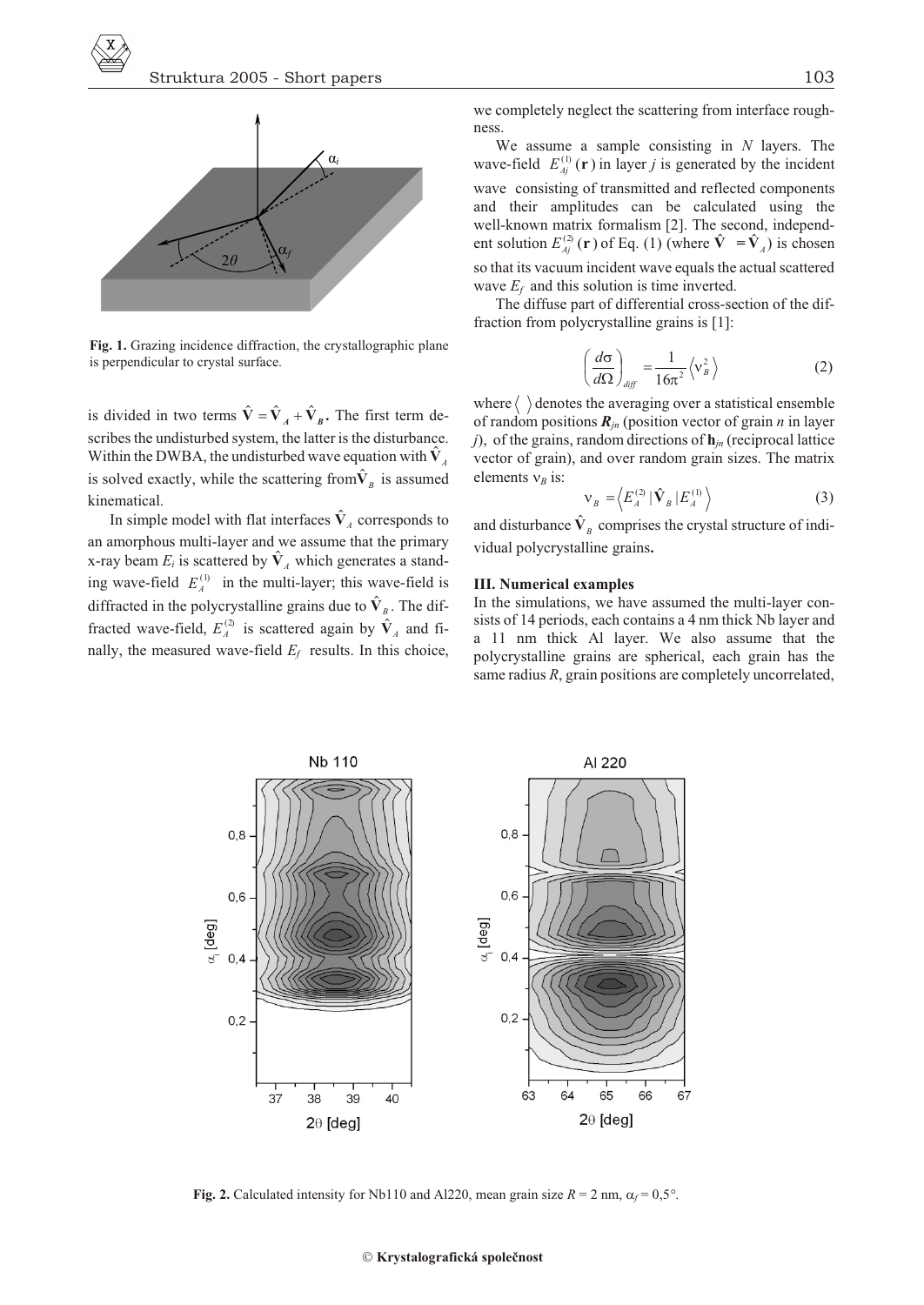

Fig. 1. Grazing incidence diffraction, the crystallographic plane is perpendicular to crystal surface.

is divided in two terms  $\hat{V}$   $\hat{V}_A$   $\hat{V}_B$ . The first term describes the undisturbed system, the latter is the disturbance. Within the DWBA, the undisturbed wave equation with  $\hat{V}_A$ is solved exactly, while the scattering from  $\hat{V}_B$  is assumed kinematical.

In simple model with flat interfaces  $\hat{V}_4$  corresponds to an amorphous multi-layer and we assume that the primary x-ray beam  $E_i$  is scattered by  $\hat{\mathbf{V}}_A$  which generates a standing wave-field  $E_4^{(1)}$  in the multi-layer; this wave-field is diffracted in the polycrystalline grains due to  $\hat{\mathbf{V}}_B$ . The diffracted wave-field,  $E_4^{(2)}$  is scattered again by  $\hat{V}_4$  and finally, the measured wave-field  $E_f$  results. In this choice,

we completely neglect the scattering from interface roughness

We assume a sample consisting in  $N$  layers. The wave-field  $E_{Ai}^{(1)}(\mathbf{r})$  in layer j is generated by the incident wave consisting of transmitted and reflected components and their amplitudes can be calculated using the well-known matrix formalism [2]. The second, independent solution  $E_{Ai}^{(2)}$  (**r**) of Eq. (1) (where  $\hat{\mathbf{V}} = \hat{\mathbf{V}}_A$ ) is chosen so that its vacuum incident wave equals the actual scattered wave  $E_f$  and this solution is time inverted.

The diffuse part of differential cross-section of the diffraction from polycrystalline grains is [1]:

$$
\frac{d}{d\theta} \frac{1}{\sinh 16^{-2}} \left\langle \begin{array}{c} 2 \\ B \end{array} \right\rangle
$$
 (2)

where  $\langle \ \rangle$  denotes the averaging over a statistical ensemble of random positions  $\mathbf{R}_{in}$  (position vector of grain *n* in layer j), of the grains, random directions of  $h_{jn}$  (reciprocal lattice vector of grain), and over random grain sizes. The matrix elements  $_B$  is:

$$
B = \left\langle E_A^{(2)} | \hat{\mathbf{V}}_B | E_A^{(1)} \right\rangle \tag{3}
$$

and disturbance  $\hat{V}_B$  comprises the crystal structure of individual polycrystalline grains.

# **III. Numerical examples**

In the simulations, we have assumed the multi-layer consists of 14 periods, each contains a 4 nm thick Nb layer and a 11 nm thick Al layer. We also assume that the polycrystalline grains are spherical, each grain has the same radius  $R$ , grain positions are completely uncorrelated,



Fig. 2. Calculated intensity for Nb110 and Al220, mean grain size  $R = 2$  nm,  $f = 0.5^{\circ}$ .

#### Krystalografická společnost